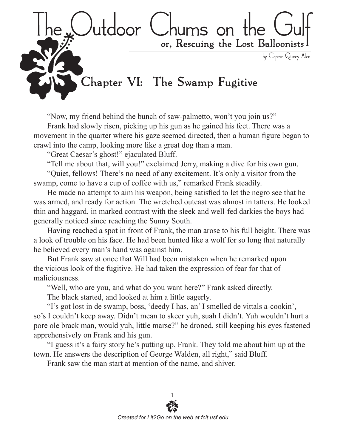

"Now, my friend behind the bunch of saw-palmetto, won't you join us?"

Frank had slowly risen, picking up his gun as he gained his feet. There was a movement in the quarter where his gaze seemed directed, then a human figure began to crawl into the camp, looking more like a great dog than a man.

"Great Caesar's ghost!" ejaculated Bluff.

"Tell me about that, will you!" exclaimed Jerry, making a dive for his own gun.

"Quiet, fellows! There's no need of any excitement. It's only a visitor from the swamp, come to have a cup of coffee with us," remarked Frank steadily.

He made no attempt to aim his weapon, being satisfied to let the negro see that he was armed, and ready for action. The wretched outcast was almost in tatters. He looked thin and haggard, in marked contrast with the sleek and well-fed darkies the boys had generally noticed since reaching the Sunny South.

Having reached a spot in front of Frank, the man arose to his full height. There was a look of trouble on his face. He had been hunted like a wolf for so long that naturally he believed every man's hand was against him.

But Frank saw at once that Will had been mistaken when he remarked upon the vicious look of the fugitive. He had taken the expression of fear for that of maliciousness.

"Well, who are you, and what do you want here?" Frank asked directly.

The black started, and looked at him a little eagerly.

"I's got lost in de swamp, boss, 'deedy I has, an' I smelled de vittals a-cookin', so's I couldn't keep away. Didn't mean to skeer yuh, suah I didn't. Yuh wouldn't hurt a pore ole brack man, would yuh, little marse?" he droned, still keeping his eyes fastened apprehensively on Frank and his gun.

"I guess it's a fairy story he's putting up, Frank. They told me about him up at the town. He answers the description of George Walden, all right," said Bluff.

Frank saw the man start at mention of the name, and shiver.

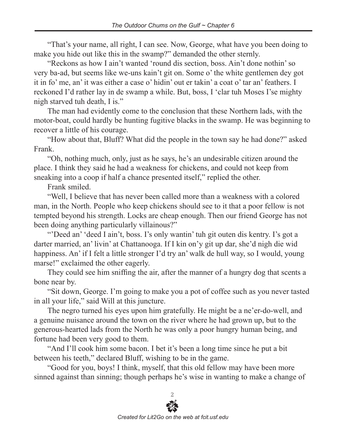"That's your name, all right, I can see. Now, George, what have you been doing to make you hide out like this in the swamp?" demanded the other sternly.

"Reckons as how I ain't wanted 'round dis section, boss. Ain't done nothin' so very ba-ad, but seems like we-uns kain't git on. Some o' the white gentlemen dey got it in fo' me, an' it was either a case o' hidin' out er takin' a coat o' tar an' feathers. I reckoned I'd rather lay in de swamp a while. But, boss, I 'clar tuh Moses I'se mighty nigh starved tuh death, I is."

The man had evidently come to the conclusion that these Northern lads, with the motor-boat, could hardly be hunting fugitive blacks in the swamp. He was beginning to recover a little of his courage.

"How about that, Bluff? What did the people in the town say he had done?" asked Frank.

"Oh, nothing much, only, just as he says, he's an undesirable citizen around the place. I think they said he had a weakness for chickens, and could not keep from sneaking into a coop if half a chance presented itself," replied the other.

Frank smiled.

"Well, I believe that has never been called more than a weakness with a colored man, in the North. People who keep chickens should see to it that a poor fellow is not tempted beyond his strength. Locks are cheap enough. Then our friend George has not been doing anything particularly villainous?"

"Deed an' 'deed I ain't, boss. I's only wantin' tuh git outen dis kentry. I's got a darter married, an' livin' at Chattanooga. If I kin on'y git up dar, she'd nigh die wid happiness. An' if I felt a little stronger I'd try an' walk de hull way, so I would, young marse!" exclaimed the other eagerly.

They could see him sniffing the air, after the manner of a hungry dog that scents a bone near by.

"Sit down, George. I'm going to make you a pot of coffee such as you never tasted in all your life," said Will at this juncture.

The negro turned his eyes upon him gratefully. He might be a ne'er-do-well, and a genuine nuisance around the town on the river where he had grown up, but to the generous-hearted lads from the North he was only a poor hungry human being, and fortune had been very good to them.

"And I'll cook him some bacon. I bet it's been a long time since he put a bit between his teeth," declared Bluff, wishing to be in the game.

"Good for you, boys! I think, myself, that this old fellow may have been more sinned against than sinning; though perhaps he's wise in wanting to make a change of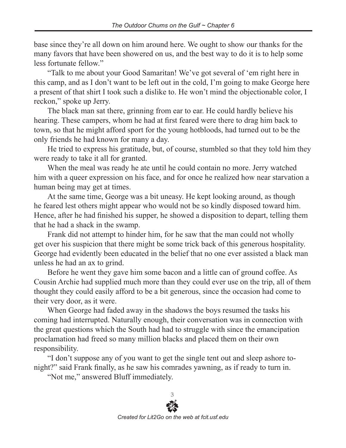base since they're all down on him around here. We ought to show our thanks for the many favors that have been showered on us, and the best way to do it is to help some less fortunate fellow"

"Talk to me about your Good Samaritan! We've got several of 'em right here in this camp, and as I don't want to be left out in the cold, I'm going to make George here a present of that shirt I took such a dislike to. He won't mind the objectionable color, I reckon," spoke up Jerry.

The black man sat there, grinning from ear to ear. He could hardly believe his hearing. These campers, whom he had at first feared were there to drag him back to town, so that he might afford sport for the young hotbloods, had turned out to be the only friends he had known for many a day.

He tried to express his gratitude, but, of course, stumbled so that they told him they were ready to take it all for granted.

When the meal was ready he ate until he could contain no more. Jerry watched him with a queer expression on his face, and for once he realized how near starvation a human being may get at times.

At the same time, George was a bit uneasy. He kept looking around, as though he feared lest others might appear who would not be so kindly disposed toward him. Hence, after he had finished his supper, he showed a disposition to depart, telling them that he had a shack in the swamp.

Frank did not attempt to hinder him, for he saw that the man could not wholly get over his suspicion that there might be some trick back of this generous hospitality. George had evidently been educated in the belief that no one ever assisted a black man unless he had an ax to grind.

Before he went they gave him some bacon and a little can of ground coffee. As Cousin Archie had supplied much more than they could ever use on the trip, all of them thought they could easily afford to be a bit generous, since the occasion had come to their very door, as it were.

When George had faded away in the shadows the boys resumed the tasks his coming had interrupted. Naturally enough, their conversation was in connection with the great questions which the South had had to struggle with since the emancipation proclamation had freed so many million blacks and placed them on their own responsibility.

"I don't suppose any of you want to get the single tent out and sleep ashore tonight?" said Frank finally, as he saw his comrades yawning, as if ready to turn in.

"Not me," answered Bluff immediately.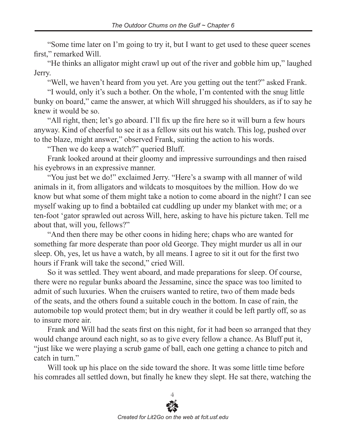"Some time later on I'm going to try it, but I want to get used to these queer scenes first," remarked Will.

"He thinks an alligator might crawl up out of the river and gobble him up," laughed Jerry.

"Well, we haven't heard from you yet. Are you getting out the tent?" asked Frank.

"I would, only it's such a bother. On the whole, I'm contented with the snug little bunky on board," came the answer, at which Will shrugged his shoulders, as if to say he knew it would be so.

"All right, then; let's go aboard. I'll fix up the fire here so it will burn a few hours anyway. Kind of cheerful to see it as a fellow sits out his watch. This log, pushed over to the blaze, might answer," observed Frank, suiting the action to his words.

"Then we do keep a watch?" queried Bluff.

Frank looked around at their gloomy and impressive surroundings and then raised his eyebrows in an expressive manner.

"You just bet we do!" exclaimed Jerry. "Here's a swamp with all manner of wild animals in it, from alligators and wildcats to mosquitoes by the million. How do we know but what some of them might take a notion to come aboard in the night? I can see myself waking up to find a bobtailed cat cuddling up under my blanket with me; or a ten-foot 'gator sprawled out across Will, here, asking to have his picture taken. Tell me about that, will you, fellows?"

"And then there may be other coons in hiding here; chaps who are wanted for something far more desperate than poor old George. They might murder us all in our sleep. Oh, yes, let us have a watch, by all means. I agree to sit it out for the first two hours if Frank will take the second," cried Will.

So it was settled. They went aboard, and made preparations for sleep. Of course, there were no regular bunks aboard the Jessamine, since the space was too limited to admit of such luxuries. When the cruisers wanted to retire, two of them made beds of the seats, and the others found a suitable couch in the bottom. In case of rain, the automobile top would protect them; but in dry weather it could be left partly off, so as to insure more air.

Frank and Will had the seats first on this night, for it had been so arranged that they would change around each night, so as to give every fellow a chance. As Bluff put it, "just like we were playing a scrub game of ball, each one getting a chance to pitch and catch in turn."

Will took up his place on the side toward the shore. It was some little time before his comrades all settled down, but finally he knew they slept. He sat there, watching the